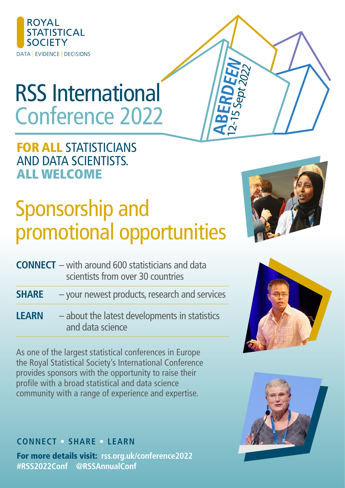

# RSS International Conference 2022

## FOR ALL STATISTICIANS AND DATA SCIENTISTS. ALL WELCOME

## Sponsorship and promotional opportunities

- 
- **CONNECT** with around 600 statisticians and data scientists from over 30 countries
- **SHARE** your newest products, research and services
- **LEARN** about the latest developments in statistics and data science

As one of the largest statistical conferences in Europe the Royal Statistical Society's International Conference provides sponsors with the opportunity to raise their profile with a broad statistical and data science community with a range of experience and expertise.





### **CONNECT • SHARE • LEARN**

For more details visit: **[rss.org.uk/conference2022](https://rss.org.uk/conference2022/) [#RSS2022Conf](https://twitter.com/hashtag/RSS2022Conf?src=hashtag_click) [@RSSAnnualConf](https://twitter.com/RSSAnnualConf)**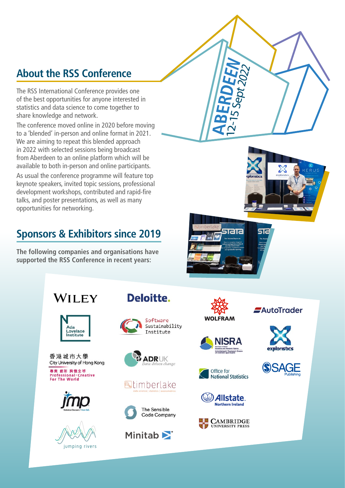## **About the RSS Conference**

The RSS International Conference provides one of the best opportunities for anyone interested in statistics and data science to come together to share knowledge and network.

The conference moved online in 2020 before moving to a 'blended' in-person and online format in 2021. We are aiming to repeat this blended approach in 2022 with selected sessions being broadcast from Aberdeen to an online platform which will be available to both in-person and online participants.

As usual the conference programme will feature top keynote speakers, invited topic sessions, professional development workshops, contributed and rapid-fire talks, and poster presentations, as well as many opportunities for networking.

## **Sponsors & Exhibitors since 2019**

**The following companies and organisations have supported the RSS Conference in recent years:**





香港城市大學 City University of Hong Kong

専業 創新 胸懷全球<br>Professional·Creative<br>For The World



















stata













**SAutoTrader** 

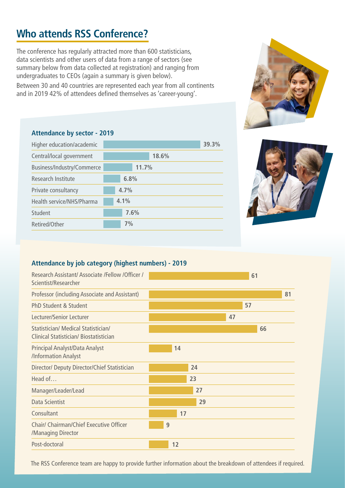### **Who attends RSS Conference?**

The conference has regularly attracted more than 600 statisticians, data scientists and other users of data from a range of sectors (see summary below from data collected at registration) and ranging from undergraduates to CEOs (again a summary is given below).

Between 30 and 40 countries are represented each year from all continents and in 2019 42% of attendees defined themselves as 'career-young'.



#### **Attendance by sector - 2019**

| 39.3% |
|-------|
| 18.6% |
| 11.7% |
| 6.8%  |
| 4.7%  |
| 4.1%  |
| 7.6%  |
| 7%    |
|       |



#### **Attendance by job category (highest numbers) - 2019**

| Research Assistant/ Associate /Fellow /Officer /<br>Scientist/Researcher             |    | 61 |  |
|--------------------------------------------------------------------------------------|----|----|--|
| Professor (including Associate and Assistant)                                        |    | 81 |  |
| <b>PhD Student &amp; Student</b>                                                     |    | 57 |  |
| Lecturer/Senior Lecturer                                                             |    | 47 |  |
| Statistician/ Medical Statistician/<br><b>Clinical Statistician/ Biostatistician</b> |    | 66 |  |
| Principal Analyst/Data Analyst<br>/Information Analyst                               | 14 |    |  |
| Director/ Deputy Director/Chief Statistician                                         | 24 |    |  |
| Head of                                                                              | 23 |    |  |
| Manager/Leader/Lead                                                                  | 27 |    |  |
| <b>Data Scientist</b>                                                                | 29 |    |  |
| Consultant                                                                           | 17 |    |  |
| <b>Chair/ Chairman/Chief Executive Officer</b><br>/Managing Director                 | 9  |    |  |
| Post-doctoral                                                                        | 12 |    |  |

The RSS Conference team are happy to provide further information about the breakdown of attendees if required.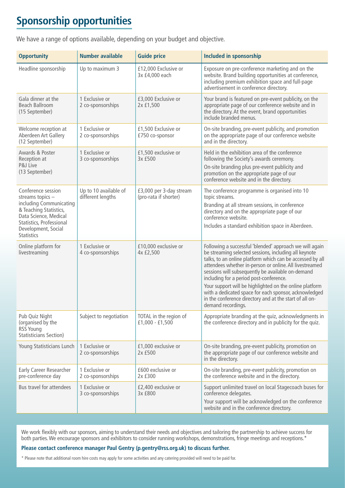## **Sponsorship opportunities**

We have a range of options available, depending on your budget and objective.

| <b>Opportunity</b>                                                                                                                                                                           | <b>Number available</b>                    | <b>Guide price</b>                               | Included in sponsorship                                                                                                                                                                                                                                                                                                                                                                                                                                                                                                                       |
|----------------------------------------------------------------------------------------------------------------------------------------------------------------------------------------------|--------------------------------------------|--------------------------------------------------|-----------------------------------------------------------------------------------------------------------------------------------------------------------------------------------------------------------------------------------------------------------------------------------------------------------------------------------------------------------------------------------------------------------------------------------------------------------------------------------------------------------------------------------------------|
| Headline sponsorship                                                                                                                                                                         | Up to maximum 3                            | £12,000 Exclusive or<br>3x £4,000 each           | Exposure on pre-conference marketing and on the<br>website. Brand building opportunities at conference,<br>including premium exhibition space and full-page<br>advertisement in conference directory.                                                                                                                                                                                                                                                                                                                                         |
| Gala dinner at the<br><b>Beach Ballroom</b><br>(15 September)                                                                                                                                | 1 Exclusive or<br>2 co-sponsorships        | £3,000 Exclusive or<br>2x £1,500                 | Your brand is featured on pre-event publicity, on the<br>appropriate page of our conference website and in<br>the directory. At the event, brand opportunities<br>include branded menus.                                                                                                                                                                                                                                                                                                                                                      |
| Welcome reception at<br>Aberdeen Art Gallery<br>(12 September)                                                                                                                               | 1 Exclusive or<br>2 co-sponsorships        | £1,500 Exclusive or<br>£750 co-sponsor           | On-site branding, pre-event publicity, and promotion<br>on the appropriate page of our conference website<br>and in the directory.                                                                                                                                                                                                                                                                                                                                                                                                            |
| Awards & Poster<br>Reception at<br>P&J Live<br>(13 September)                                                                                                                                | 1 Exclusive or<br>3 co-sponsorships        | £1,500 exclusive or<br>3x £500                   | Held in the exhibition area of the conference<br>following the Society's awards ceremony.<br>On-site branding plus pre-event publicity and<br>promotion on the appropriate page of our<br>conference website and in the directory.                                                                                                                                                                                                                                                                                                            |
| Conference session<br>streams topics -<br>including Communicating<br>& Teaching Statistics,<br>Data Science, Medical<br>Statistics, Professional<br>Development, Social<br><b>Statistics</b> | Up to 10 available of<br>different lengths | £3,000 per 3-day stream<br>(pro-rata if shorter) | The conference programme is organised into 10<br>topic streams.<br>Branding at all stream sessions, in conference<br>directory and on the appropriate page of our<br>conference website.<br>Includes a standard exhibition space in Aberdeen.                                                                                                                                                                                                                                                                                                 |
| Online platform for<br>livestreaming                                                                                                                                                         | 1 Exclusive or<br>4 co-sponsorships        | £10,000 exclusive or<br>4x £2,500                | Following a successful 'blended' approach we will again<br>be streaming selected sessions, including all keynote<br>talks, to an online platform which can be accessed by all<br>attendees whether in-person or online. All livestreamed<br>sessions will subsequently be available on-demand<br>including for a period post-conference.<br>Your support will be highlighted on the online platform<br>with a dedicated space for each sponsor, acknowledged<br>in the conference directory and at the start of all on-<br>demand recordings. |
| Pub Quiz Night<br>(organised by the<br><b>RSS Young</b><br><b>Statisticians Section)</b>                                                                                                     | Subject to negotiation                     | TOTAL in the region of<br>£1,000 - £1,500        | Appropriate branding at the quiz, acknowledgments in<br>the conference directory and in publicity for the quiz.                                                                                                                                                                                                                                                                                                                                                                                                                               |
| Young Statisticians Lunch                                                                                                                                                                    | 1 Exclusive or<br>2 co-sponsorships        | £1,000 exclusive or<br>2x £500                   | On-site branding, pre-event publicity, promotion on<br>the appropriate page of our conference website and<br>in the directory.                                                                                                                                                                                                                                                                                                                                                                                                                |
| Early Career Researcher<br>pre-conference day                                                                                                                                                | 1 Exclusive or<br>2 co-sponsorships        | £600 exclusive or<br>2x £300                     | On-site branding, pre-event publicity, promotion on<br>the conference website and in the directory.                                                                                                                                                                                                                                                                                                                                                                                                                                           |
| Bus travel for attendees                                                                                                                                                                     | 1 Exclusive or<br>3 co-sponsorships        | £2,400 exclusive or<br>3x £800                   | Support unlimited travel on local Stagecoach buses for<br>conference delegates.<br>Your support will be acknowledged on the conference<br>website and in the conference directory.                                                                                                                                                                                                                                                                                                                                                            |

We work flexibly with our sponsors, aiming to understand their needs and objectives and tailoring the partnership to achieve success for both parties. We encourage sponsors and exhibitors to consider running workshops, demonstrations, fringe meetings and receptions.\*

#### **Please contact conference manager Paul Gentry (p.gentry@rss.org.uk) to discuss further.**

\* Please note that additional room hire costs may apply for some activities and any catering provided will need to be paid for.